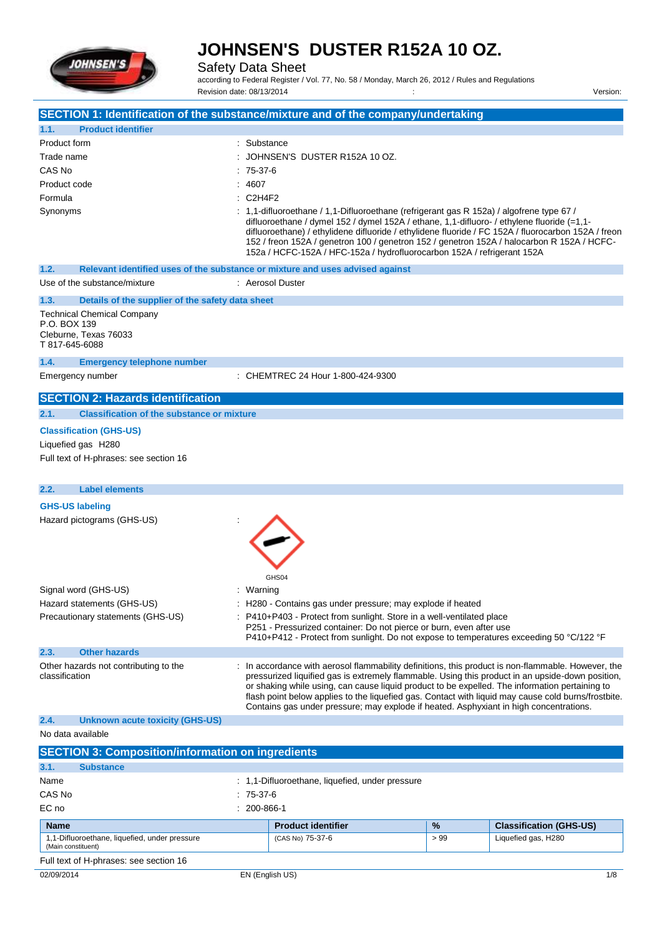

Safety Data Sheet

according to Federal Register / Vol. 77, No. 58 / Monday, March 26, 2012 / Rules and Regulations Revision date: 08/13/2014 : Version:

| SECTION 1: Identification of the substance/mixture and of the company/undertaking            |                                 |                                                                                                                                                                                                                                                                                                                                                                                                                                                                                                         |     |                                |
|----------------------------------------------------------------------------------------------|---------------------------------|---------------------------------------------------------------------------------------------------------------------------------------------------------------------------------------------------------------------------------------------------------------------------------------------------------------------------------------------------------------------------------------------------------------------------------------------------------------------------------------------------------|-----|--------------------------------|
| <b>Product identifier</b><br>1.1.                                                            |                                 |                                                                                                                                                                                                                                                                                                                                                                                                                                                                                                         |     |                                |
| Product form                                                                                 | : Substance                     |                                                                                                                                                                                                                                                                                                                                                                                                                                                                                                         |     |                                |
| Trade name                                                                                   |                                 | JOHNSEN'S DUSTER R152A 10 OZ.                                                                                                                                                                                                                                                                                                                                                                                                                                                                           |     |                                |
| CAS No                                                                                       | $75-37-6$                       |                                                                                                                                                                                                                                                                                                                                                                                                                                                                                                         |     |                                |
| Product code                                                                                 | : 4607                          |                                                                                                                                                                                                                                                                                                                                                                                                                                                                                                         |     |                                |
| Formula                                                                                      | C <sub>2</sub> H <sub>4F2</sub> |                                                                                                                                                                                                                                                                                                                                                                                                                                                                                                         |     |                                |
| Synonyms                                                                                     |                                 | : 1,1-difluoroethane / 1,1-Difluoroethane (refrigerant gas R 152a) / algofrene type 67 /<br>difluoroethane / dymel 152 / dymel 152A / ethane, 1,1-difluoro- / ethylene fluoride (=1,1-<br>difluoroethane) / ethylidene difluoride / ethylidene fluoride / FC 152A / fluorocarbon 152A / freon<br>152 / freon 152A / genetron 100 / genetron 152 / genetron 152A / halocarbon R 152A / HCFC-<br>152a / HCFC-152A / HFC-152a / hydrofluorocarbon 152A / refrigerant 152A                                  |     |                                |
| Relevant identified uses of the substance or mixture and uses advised against<br>1.2.        |                                 |                                                                                                                                                                                                                                                                                                                                                                                                                                                                                                         |     |                                |
| Use of the substance/mixture                                                                 |                                 | : Aerosol Duster                                                                                                                                                                                                                                                                                                                                                                                                                                                                                        |     |                                |
| 1.3.<br>Details of the supplier of the safety data sheet                                     |                                 |                                                                                                                                                                                                                                                                                                                                                                                                                                                                                                         |     |                                |
| <b>Technical Chemical Company</b><br>P.O. BOX 139<br>Cleburne, Texas 76033<br>T 817-645-6088 |                                 |                                                                                                                                                                                                                                                                                                                                                                                                                                                                                                         |     |                                |
| 1.4.<br><b>Emergency telephone number</b>                                                    |                                 |                                                                                                                                                                                                                                                                                                                                                                                                                                                                                                         |     |                                |
| Emergency number                                                                             |                                 | : CHEMTREC 24 Hour 1-800-424-9300                                                                                                                                                                                                                                                                                                                                                                                                                                                                       |     |                                |
| <b>SECTION 2: Hazards identification</b>                                                     |                                 |                                                                                                                                                                                                                                                                                                                                                                                                                                                                                                         |     |                                |
| 2.1.<br><b>Classification of the substance or mixture</b>                                    |                                 |                                                                                                                                                                                                                                                                                                                                                                                                                                                                                                         |     |                                |
| <b>Classification (GHS-US)</b>                                                               |                                 |                                                                                                                                                                                                                                                                                                                                                                                                                                                                                                         |     |                                |
| Liquefied gas H280                                                                           |                                 |                                                                                                                                                                                                                                                                                                                                                                                                                                                                                                         |     |                                |
| Full text of H-phrases: see section 16                                                       |                                 |                                                                                                                                                                                                                                                                                                                                                                                                                                                                                                         |     |                                |
| <b>Label elements</b><br>2.2.                                                                |                                 |                                                                                                                                                                                                                                                                                                                                                                                                                                                                                                         |     |                                |
| <b>GHS-US labeling</b>                                                                       |                                 |                                                                                                                                                                                                                                                                                                                                                                                                                                                                                                         |     |                                |
| Hazard pictograms (GHS-US)                                                                   |                                 | GHS04                                                                                                                                                                                                                                                                                                                                                                                                                                                                                                   |     |                                |
| Signal word (GHS-US)                                                                         | Warning                         |                                                                                                                                                                                                                                                                                                                                                                                                                                                                                                         |     |                                |
| Hazard statements (GHS-US)                                                                   |                                 | H280 - Contains gas under pressure; may explode if heated                                                                                                                                                                                                                                                                                                                                                                                                                                               |     |                                |
| Precautionary statements (GHS-US)                                                            |                                 | P410+P403 - Protect from sunlight. Store in a well-ventilated place                                                                                                                                                                                                                                                                                                                                                                                                                                     |     |                                |
|                                                                                              |                                 | P251 - Pressurized container: Do not pierce or burn, even after use                                                                                                                                                                                                                                                                                                                                                                                                                                     |     |                                |
|                                                                                              |                                 | P410+P412 - Protect from sunlight. Do not expose to temperatures exceeding 50 °C/122 °F                                                                                                                                                                                                                                                                                                                                                                                                                 |     |                                |
| <b>Other hazards</b><br>2.3.                                                                 |                                 |                                                                                                                                                                                                                                                                                                                                                                                                                                                                                                         |     |                                |
| Other hazards not contributing to the<br>classification                                      |                                 | In accordance with aerosol flammability definitions, this product is non-flammable. However, the<br>pressurized liquified gas is extremely flammable. Using this product in an upside-down position,<br>or shaking while using, can cause liquid product to be expelled. The information pertaining to<br>flash point below applies to the liquefied gas. Contact with liquid may cause cold burns/frostbite.<br>Contains gas under pressure; may explode if heated. Asphyxiant in high concentrations. |     |                                |
| 2.4.<br><b>Unknown acute toxicity (GHS-US)</b>                                               |                                 |                                                                                                                                                                                                                                                                                                                                                                                                                                                                                                         |     |                                |
| No data available                                                                            |                                 |                                                                                                                                                                                                                                                                                                                                                                                                                                                                                                         |     |                                |
| <b>SECTION 3: Composition/information on ingredients</b>                                     |                                 |                                                                                                                                                                                                                                                                                                                                                                                                                                                                                                         |     |                                |
| 3.1.<br><b>Substance</b>                                                                     |                                 |                                                                                                                                                                                                                                                                                                                                                                                                                                                                                                         |     |                                |
| Name                                                                                         |                                 | : 1,1-Difluoroethane, liquefied, under pressure                                                                                                                                                                                                                                                                                                                                                                                                                                                         |     |                                |
| CAS No                                                                                       | $: 75-37-6$                     |                                                                                                                                                                                                                                                                                                                                                                                                                                                                                                         |     |                                |
| EC no                                                                                        | $: 200 - 866 - 1$               |                                                                                                                                                                                                                                                                                                                                                                                                                                                                                                         |     |                                |
| <b>Name</b>                                                                                  |                                 | <b>Product identifier</b>                                                                                                                                                                                                                                                                                                                                                                                                                                                                               | %   | <b>Classification (GHS-US)</b> |
| 1,1-Difluoroethane, liquefied, under pressure<br>(Main constituent)                          |                                 | (CAS No) 75-37-6                                                                                                                                                                                                                                                                                                                                                                                                                                                                                        | >99 | Liquefied gas, H280            |

Full text of H-phrases: see section 16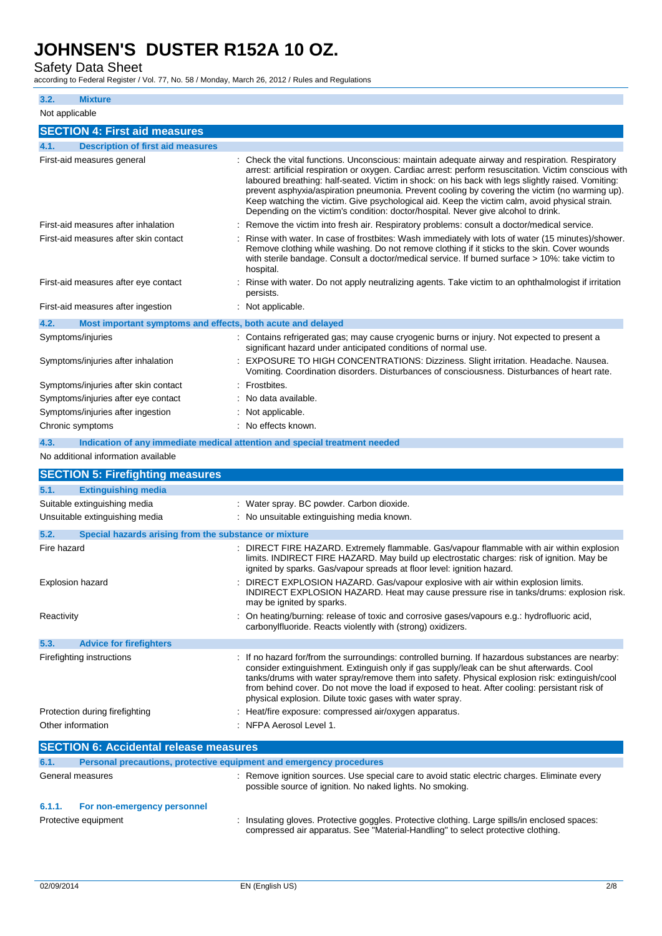## Safety Data Sheet

according to Federal Register / Vol. 77, No. 58 / Monday, March 26, 2012 / Rules and Regulations

**3.2. Mixture** Not applicable **SECTION 4: First aid measures 4.1. Description of first aid measures** First-aid measures general **interpretatal constructs**: Check the vital functions. Unconscious: maintain adequate airway and respiration. Respiratory arrest: artificial respiration or oxygen. Cardiac arrest: perform resuscitation. Victim conscious with laboured breathing: half-seated. Victim in shock: on his back with legs slightly raised. Vomiting: prevent asphyxia/aspiration pneumonia. Prevent cooling by covering the victim (no warming up). Keep watching the victim. Give psychological aid. Keep the victim calm, avoid physical strain. Depending on the victim's condition: doctor/hospital. Never give alcohol to drink. First-aid measures after inhalation : Remove the victim into fresh air. Respiratory problems: consult a doctor/medical service. First-aid measures after skin contact : Rinse with water. In case of frostbites: Wash immediately with lots of water (15 minutes)/shower. Remove clothing while washing. Do not remove clothing if it sticks to the skin. Cover wounds with sterile bandage. Consult a doctor/medical service. If burned surface > 10%: take victim to hospital. First-aid measures after eye contact : Rinse with water. Do not apply neutralizing agents. Take victim to an ophthalmologist if irritation persists. First-aid measures after ingestion : Not applicable. **4.2. Most important symptoms and effects, both acute and delayed** Symptoms/injuries **intervalse and the Contains refrigerated gas**; may cause cryogenic burns or injury. Not expected to present a significant hazard under anticipated conditions of normal use. Symptoms/injuries after inhalation : EXPOSURE TO HIGH CONCENTRATIONS: Dizziness. Slight irritation. Headache. Nausea. Vomiting. Coordination disorders. Disturbances of consciousness. Disturbances of heart rate. Symptoms/injuries after skin contact : Frostbites Symptoms/injuries after eye contact : No data available. Symptoms/injuries after ingestion : Not applicable. Chronic symptoms  $\qquad \qquad$ : No effects known. **4.3. Indication of any immediate medical attention and special treatment needed** No additional information available **SECTION 5: Firefighting measures 5.1. Extinguishing media** Suitable extinguishing media : Water spray. BC powder. Carbon dioxide. Unsuitable extinguishing media : No unsuitable extinguishing media known. **5.2. Special hazards arising from the substance or mixture** Fire hazard **in the state of the START STARGET FIRE HAZARD.** Extremely flammable. Gas/vapour flammable with air within explosion limits. INDIRECT FIRE HAZARD. May build up electrostatic charges: risk of ignition. May be ignited by sparks. Gas/vapour spreads at floor level: ignition hazard. Explosion hazard **interpretatal intervalse in ACCT EXPLOSION HAZARD**. Gas/vapour explosive with air within explosion limits. INDIRECT EXPLOSION HAZARD. Heat may cause pressure rise in tanks/drums: explosion risk. may be ignited by sparks. Reactivity **interprettive and the Constant Conducts**: On heating/burning: release of toxic and corrosive gases/vapours e.g.: hydrofluoric acid, carbonylfluoride. Reacts violently with (strong) oxidizers. **5.3. Advice for firefighters** Firefighting instructions : If no hazard for/from the surroundings: controlled burning. If hazardous substances are nearby: consider extinguishment. Extinguish only if gas supply/leak can be shut afterwards. Cool tanks/drums with water spray/remove them into safety. Physical explosion risk: extinguish/cool from behind cover. Do not move the load if exposed to heat. After cooling: persistant risk of physical explosion. Dilute toxic gases with water spray. Protection during firefighting : Heat/fire exposure: compressed air/oxygen apparatus. Other information **in the contract of the CO** in the NFPA Aerosol Level 1. **SECTION 6: Accidental release measures 6.1. Personal precautions, protective equipment and emergency procedures** General measures **interpretatal measures** : Remove ignition sources. Use special care to avoid static electric charges. Eliminate every possible source of ignition. No naked lights. No smoking. **6.1.1. For non-emergency personnel** Protective equipment **insulating gloves.** Protective goggles. Protective clothing. Large spills/in enclosed spaces: compressed air apparatus. See "Material-Handling" to select protective clothing.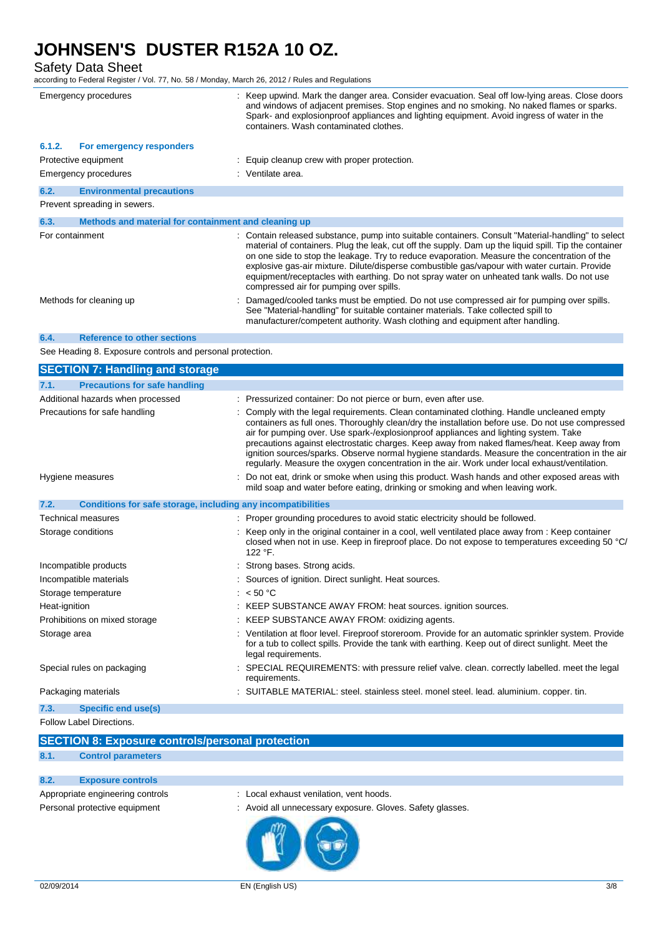Safety Data Sheet

according to Federal Register / Vol. 77, No. 58 / Monday, March 26, 2012 / Rules and Regulations

|        | Emergency procedures                                      | : Keep upwind. Mark the danger area. Consider evacuation. Seal off low-lying areas. Close doors<br>and windows of adjacent premises. Stop engines and no smoking. No naked flames or sparks.<br>Spark- and explosionproof appliances and lighting equipment. Avoid ingress of water in the<br>containers. Wash contaminated clothes.                                                                                                                                                                                                                  |
|--------|-----------------------------------------------------------|-------------------------------------------------------------------------------------------------------------------------------------------------------------------------------------------------------------------------------------------------------------------------------------------------------------------------------------------------------------------------------------------------------------------------------------------------------------------------------------------------------------------------------------------------------|
| 6.1.2. | For emergency responders                                  |                                                                                                                                                                                                                                                                                                                                                                                                                                                                                                                                                       |
|        | Protective equipment                                      | Equip cleanup crew with proper protection.                                                                                                                                                                                                                                                                                                                                                                                                                                                                                                            |
|        | Emergency procedures                                      | : Ventilate area.                                                                                                                                                                                                                                                                                                                                                                                                                                                                                                                                     |
| 6.2.   | <b>Environmental precautions</b>                          |                                                                                                                                                                                                                                                                                                                                                                                                                                                                                                                                                       |
|        | Prevent spreading in sewers.                              |                                                                                                                                                                                                                                                                                                                                                                                                                                                                                                                                                       |
| 6.3.   | Methods and material for containment and cleaning up      |                                                                                                                                                                                                                                                                                                                                                                                                                                                                                                                                                       |
|        | For containment                                           | : Contain released substance, pump into suitable containers. Consult "Material-handling" to select<br>material of containers. Plug the leak, cut off the supply. Dam up the liquid spill. Tip the container<br>on one side to stop the leakage. Try to reduce evaporation. Measure the concentration of the<br>explosive gas-air mixture. Dilute/disperse combustible gas/vapour with water curtain. Provide<br>equipment/receptacles with earthing. Do not spray water on unheated tank walls. Do not use<br>compressed air for pumping over spills. |
|        | Methods for cleaning up                                   | Damaged/cooled tanks must be emptied. Do not use compressed air for pumping over spills.<br>See "Material-handling" for suitable container materials. Take collected spill to<br>manufacturer/competent authority. Wash clothing and equipment after handling.                                                                                                                                                                                                                                                                                        |
| 6.4.   | <b>Reference to other sections</b>                        |                                                                                                                                                                                                                                                                                                                                                                                                                                                                                                                                                       |
|        | See Heading 8. Exposure controls and personal protection. |                                                                                                                                                                                                                                                                                                                                                                                                                                                                                                                                                       |
|        | <b>SECTION 7: Handling and storage</b>                    |                                                                                                                                                                                                                                                                                                                                                                                                                                                                                                                                                       |
| 7.1.   | <b>Precautions for safe handling</b>                      |                                                                                                                                                                                                                                                                                                                                                                                                                                                                                                                                                       |

| Additional hazards when processed                                    | : Pressurized container: Do not pierce or burn, even after use.                                                                                                                                                                                                                                                                                                                                                                                                                                                                                                                          |
|----------------------------------------------------------------------|------------------------------------------------------------------------------------------------------------------------------------------------------------------------------------------------------------------------------------------------------------------------------------------------------------------------------------------------------------------------------------------------------------------------------------------------------------------------------------------------------------------------------------------------------------------------------------------|
| Precautions for safe handling                                        | : Comply with the legal requirements. Clean contaminated clothing. Handle uncleaned empty<br>containers as full ones. Thoroughly clean/dry the installation before use. Do not use compressed<br>air for pumping over. Use spark-/explosionproof appliances and lighting system. Take<br>precautions against electrostatic charges. Keep away from naked flames/heat. Keep away from<br>ignition sources/sparks. Observe normal hygiene standards. Measure the concentration in the air<br>regularly. Measure the oxygen concentration in the air. Work under local exhaust/ventilation. |
| Hygiene measures                                                     | : Do not eat, drink or smoke when using this product. Wash hands and other exposed areas with<br>mild soap and water before eating, drinking or smoking and when leaving work.                                                                                                                                                                                                                                                                                                                                                                                                           |
| Conditions for safe storage, including any incompatibilities<br>7.2. |                                                                                                                                                                                                                                                                                                                                                                                                                                                                                                                                                                                          |
| Technical measures                                                   | : Proper grounding procedures to avoid static electricity should be followed.                                                                                                                                                                                                                                                                                                                                                                                                                                                                                                            |
| Storage conditions                                                   | : Keep only in the original container in a cool, well ventilated place away from : Keep container<br>closed when not in use. Keep in fireproof place. Do not expose to temperatures exceeding 50 °C/<br>122 °F.                                                                                                                                                                                                                                                                                                                                                                          |
| Incompatible products                                                | : Strong bases. Strong acids.                                                                                                                                                                                                                                                                                                                                                                                                                                                                                                                                                            |
| Incompatible materials                                               | : Sources of ignition. Direct sunlight. Heat sources.                                                                                                                                                                                                                                                                                                                                                                                                                                                                                                                                    |
| Storage temperature                                                  | : $< 50 °C$                                                                                                                                                                                                                                                                                                                                                                                                                                                                                                                                                                              |
| Heat-ignition                                                        | : KEEP SUBSTANCE AWAY FROM: heat sources. ignition sources.                                                                                                                                                                                                                                                                                                                                                                                                                                                                                                                              |
| Prohibitions on mixed storage                                        | : KEEP SUBSTANCE AWAY FROM: oxidizing agents.                                                                                                                                                                                                                                                                                                                                                                                                                                                                                                                                            |
| Storage area                                                         | : Ventilation at floor level. Fireproof storeroom. Provide for an automatic sprinkler system. Provide<br>for a tub to collect spills. Provide the tank with earthing. Keep out of direct sunlight. Meet the<br>legal requirements.                                                                                                                                                                                                                                                                                                                                                       |
| Special rules on packaging                                           | : SPECIAL REQUIREMENTS: with pressure relief valve. clean. correctly labelled. meet the legal<br>requirements.                                                                                                                                                                                                                                                                                                                                                                                                                                                                           |
| Packaging materials                                                  | : SUITABLE MATERIAL: steel. stainless steel. monel steel. lead. aluminium. copper. tin.                                                                                                                                                                                                                                                                                                                                                                                                                                                                                                  |
| Specific end use(s)<br>7.3.                                          |                                                                                                                                                                                                                                                                                                                                                                                                                                                                                                                                                                                          |
|                                                                      |                                                                                                                                                                                                                                                                                                                                                                                                                                                                                                                                                                                          |

Follow Label Directions.

|      | <b>SECTION 8: Exposure controls/personal protection</b> |
|------|---------------------------------------------------------|
| 8.1. | <b>Control parameters</b>                               |
|      |                                                         |
| 8.2. | <b>Exposure controls</b>                                |
|      | .<br>.                                                  |

- Appropriate engineering controls : Local exhaust venilation, vent hoods.
- Personal protective equipment : Avoid all unnecessary exposure. Gloves. Safety glasses.

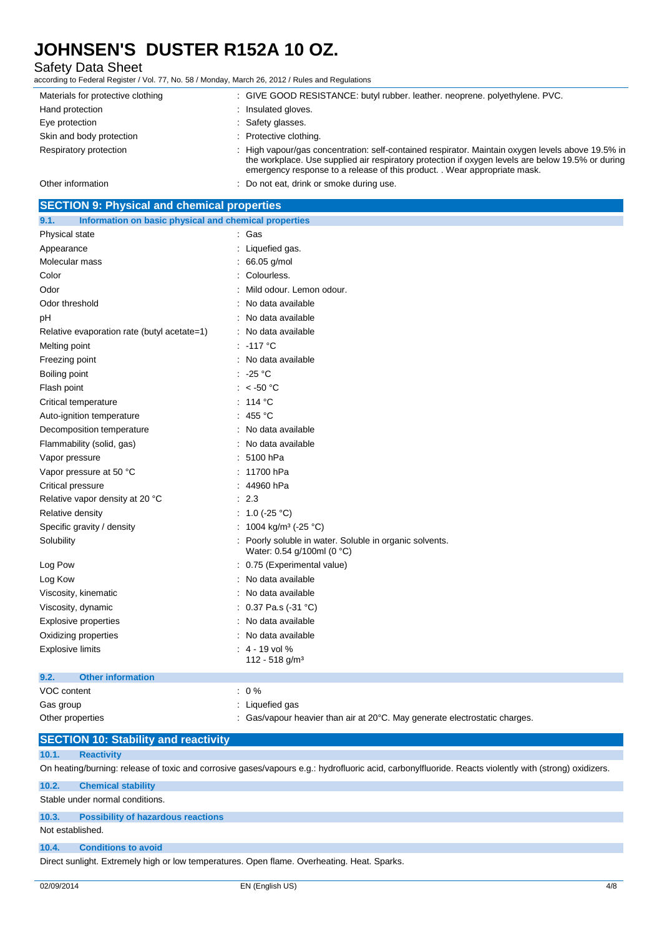## Safety Data Sheet

according to Federal Register / Vol. 77, No. 58 / Monday, March 26, 2012 / Rules and Regulations

| Materials for protective clothing | : GIVE GOOD RESISTANCE: butyl rubber. leather. neoprene. polyethylene. PVC.                                                                                                                                                                                                     |
|-----------------------------------|---------------------------------------------------------------------------------------------------------------------------------------------------------------------------------------------------------------------------------------------------------------------------------|
| Hand protection                   | Insulated gloves.                                                                                                                                                                                                                                                               |
| Eye protection                    | : Safety glasses.                                                                                                                                                                                                                                                               |
| Skin and body protection          | Protective clothing.                                                                                                                                                                                                                                                            |
| Respiratory protection            | High vapour/gas concentration: self-contained respirator. Maintain oxygen levels above 19.5% in<br>the workplace. Use supplied air respiratory protection if oxygen levels are below 19.5% or during<br>emergency response to a release of this product. Wear appropriate mask. |
| Other information                 | Do not eat, drink or smoke during use.                                                                                                                                                                                                                                          |

| <b>SECTION 9: Physical and chemical properties</b>            |                                                                                     |
|---------------------------------------------------------------|-------------------------------------------------------------------------------------|
| 9.1.<br>Information on basic physical and chemical properties |                                                                                     |
| Physical state                                                | Gas                                                                                 |
| Appearance                                                    | Liquefied gas.                                                                      |
| Molecular mass                                                | 66.05 g/mol                                                                         |
| Color                                                         | Colourless.                                                                         |
| Odor                                                          | Mild odour. Lemon odour.                                                            |
| Odor threshold                                                | No data available                                                                   |
| рH                                                            | No data available                                                                   |
| Relative evaporation rate (butyl acetate=1)                   | No data available                                                                   |
| Melting point                                                 | $-117$ °C                                                                           |
| Freezing point                                                | No data available                                                                   |
| Boiling point                                                 | $-25 °C$                                                                            |
| Flash point                                                   | $<$ -50 $^{\circ}$ C                                                                |
| Critical temperature                                          | 114 °C                                                                              |
| Auto-ignition temperature                                     | 455 °C                                                                              |
| Decomposition temperature                                     | No data available                                                                   |
| Flammability (solid, gas)                                     | No data available                                                                   |
| Vapor pressure                                                | 5100 hPa                                                                            |
| Vapor pressure at 50 °C                                       | 11700 hPa                                                                           |
| Critical pressure                                             | 44960 hPa                                                                           |
| Relative vapor density at 20 °C                               | 2.3                                                                                 |
| Relative density                                              | 1.0 $(-25 °C)$                                                                      |
| Specific gravity / density                                    | 1004 kg/m <sup>3</sup> (-25 °C)                                                     |
| Solubility                                                    | Poorly soluble in water. Soluble in organic solvents.<br>Water: 0.54 g/100ml (0 °C) |
| Log Pow                                                       | 0.75 (Experimental value)                                                           |
| Log Kow                                                       | No data available                                                                   |
| Viscosity, kinematic                                          | No data available                                                                   |
| Viscosity, dynamic                                            | 0.37 Pa.s $(-31 \degree C)$                                                         |
| <b>Explosive properties</b>                                   | No data available                                                                   |
| Oxidizing properties                                          | No data available                                                                   |
| <b>Explosive limits</b>                                       | $: 4 - 19$ vol %<br>112 - 518 g/m <sup>3</sup>                                      |
| <b>Other information</b><br>9.2.                              |                                                                                     |
| VOC content                                                   | $: 0\%$                                                                             |
| Gas group                                                     | Liquefied gas                                                                       |
| Other properties                                              | Gas/vapour heavier than air at 20°C. May generate electrostatic charges.            |

## **SECTION 10: Stability and reactivity**

### **10.1. Reactivity**

On heating/burning: release of toxic and corrosive gases/vapours e.g.: hydrofluoric acid, carbonylfluoride. Reacts violently with (strong) oxidizers.

### **10.2. Chemical stability**

Stable under normal conditions.

### **10.3. Possibility of hazardous reactions**

### Not established.

#### **10.4. Conditions to avoid**

Direct sunlight. Extremely high or low temperatures. Open flame. Overheating. Heat. Sparks.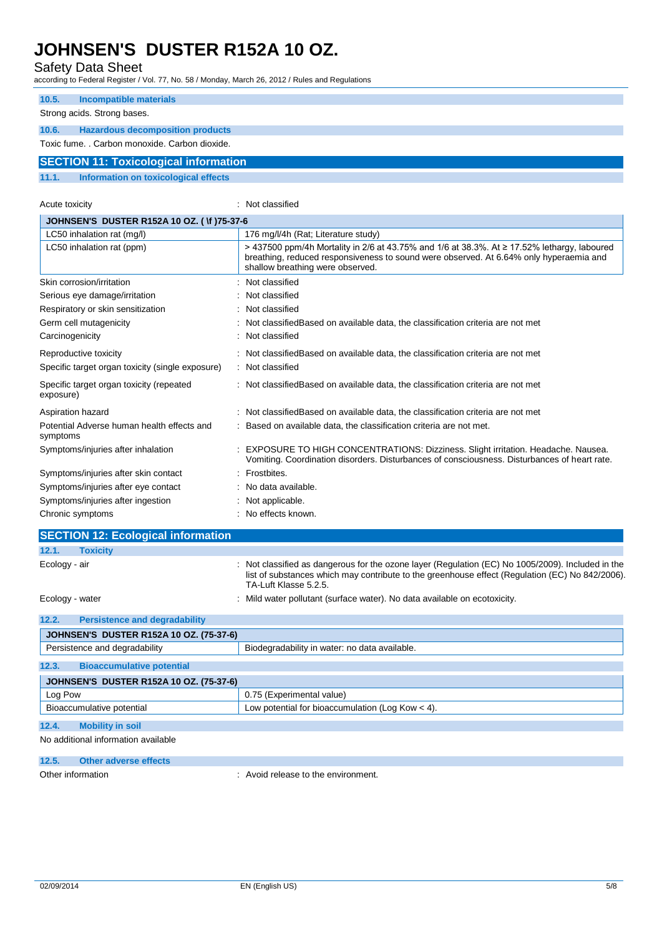Carcinogenicity : Not classified

Specific target organ toxicity (single exposure) : Not classified

Symptoms/injuries after skin contact : Frostbites. Symptoms/injuries after eye contact : No data available. Symptoms/injuries after ingestion : Not applicable. Chronic symptoms  $\qquad \qquad$ : No effects known.

Specific target organ toxicity (repeated

Potential Adverse human health effects and

**SECTION 12: Ecological information**

**12.2. Persistence and degradability**

**12.3. Bioaccumulative potential**

**12.4. Mobility in soil** No additional information available **12.5. Other adverse effects**

**JOHNSEN'S DUSTER R152A 10 OZ. (75-37-6)**

**JOHNSEN'S DUSTER R152A 10 OZ. (75-37-6)**

exposure)

symptoms

**12.1. Toxicity**

### Safety Data Sheet

according to Federal Register / Vol. 77, No. 58 / Monday, March 26, 2012 / Rules and Regulations

| 10.5.<br><b>Incompatible materials</b>           |                                                                                                                                                                                                                           |
|--------------------------------------------------|---------------------------------------------------------------------------------------------------------------------------------------------------------------------------------------------------------------------------|
| Strong acids. Strong bases.                      |                                                                                                                                                                                                                           |
| <b>Hazardous decomposition products</b><br>10.6. |                                                                                                                                                                                                                           |
| Toxic fume. . Carbon monoxide. Carbon dioxide.   |                                                                                                                                                                                                                           |
| <b>SECTION 11: Toxicological information</b>     |                                                                                                                                                                                                                           |
| Information on toxicological effects<br>11.1.    |                                                                                                                                                                                                                           |
|                                                  |                                                                                                                                                                                                                           |
| Acute toxicity                                   | : Not classified                                                                                                                                                                                                          |
| <b>JOHNSEN'S DUSTER R152A 10 OZ. (1) 75-37-6</b> |                                                                                                                                                                                                                           |
| LC50 inhalation rat (mg/l)                       | 176 mg/l/4h (Rat: Literature study)                                                                                                                                                                                       |
| LC50 inhalation rat (ppm)                        | > 437500 ppm/4h Mortality in 2/6 at 43.75% and 1/6 at 38.3%. At ≥ 17.52% lethargy, laboured<br>breathing, reduced responsiveness to sound were observed. At 6.64% only hyperaemia and<br>shallow breathing were observed. |
| Skin corrosion/irritation                        | : Not classified                                                                                                                                                                                                          |
| Serious eye damage/irritation                    | : Not classified                                                                                                                                                                                                          |
| Respiratory or skin sensitization                | : Not classified                                                                                                                                                                                                          |
| Germ cell mutagenicity                           | : Not classified Based on available data, the classification criteria are not met                                                                                                                                         |

: Not classifiedBased on available data, the classification criteria are not met

Vomiting. Coordination disorders. Disturbances of consciousness. Disturbances of heart rate.

list of substances which may contribute to the greenhouse effect (Regulation (EC) No 842/2006).

: Based on available data, the classification criteria are not met.

Reproductive toxicity in the state of the classified assified Based on available data, the classification criteria are not met

Aspiration hazard **in the classified on available data**, the classification criteria are not met

TA-Luft Klasse 5.2.5. Ecology - water **interpollutant (surface water).** No data available on ecotoxicity.

Persistence and degradability **Biodegradability in water: no data available.** 

Bioaccumulative potential Low potential Low potential for bioaccumulation (Log Kow < 4).

Log Pow  $\vert$  0.75 (Experimental value)

Other information : Avoid release to the environment.

Symptoms/injuries after inhalation : EXPOSURE TO HIGH CONCENTRATIONS: Dizziness. Slight irritation. Headache. Nausea.

Ecology - air **included in the case of the oxone layer (Regulation (EC) No 1005/2009)**. Included in the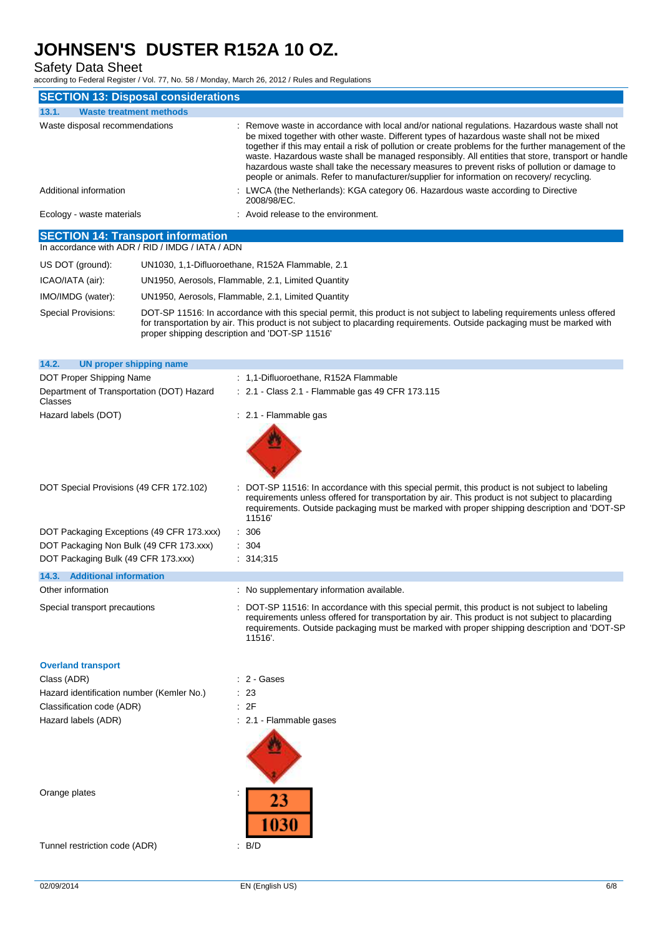Safety Data Sheet

|                                                                                              | according to Federal Register / Vol. 77, No. 58 / Monday, March 26, 2012 / Rules and Regulations                                                                                                                                                                                                                                                                                                                                                                                                                                                                                                    |
|----------------------------------------------------------------------------------------------|-----------------------------------------------------------------------------------------------------------------------------------------------------------------------------------------------------------------------------------------------------------------------------------------------------------------------------------------------------------------------------------------------------------------------------------------------------------------------------------------------------------------------------------------------------------------------------------------------------|
| <b>SECTION 13: Disposal considerations</b>                                                   |                                                                                                                                                                                                                                                                                                                                                                                                                                                                                                                                                                                                     |
| 13.1.<br><b>Waste treatment methods</b>                                                      |                                                                                                                                                                                                                                                                                                                                                                                                                                                                                                                                                                                                     |
| Waste disposal recommendations                                                               | Remove waste in accordance with local and/or national regulations. Hazardous waste shall not<br>be mixed together with other waste. Different types of hazardous waste shall not be mixed<br>together if this may entail a risk of pollution or create problems for the further management of the<br>waste. Hazardous waste shall be managed responsibly. All entities that store, transport or handle<br>hazardous waste shall take the necessary measures to prevent risks of pollution or damage to<br>people or animals. Refer to manufacturer/supplier for information on recovery/ recycling. |
| Additional information                                                                       | LWCA (the Netherlands): KGA category 06. Hazardous waste according to Directive<br>2008/98/EC.                                                                                                                                                                                                                                                                                                                                                                                                                                                                                                      |
| Ecology - waste materials                                                                    | : Avoid release to the environment.                                                                                                                                                                                                                                                                                                                                                                                                                                                                                                                                                                 |
| <b>SECTION 14: Transport information</b><br>In accordance with ADR / RID / IMDG / IATA / ADN |                                                                                                                                                                                                                                                                                                                                                                                                                                                                                                                                                                                                     |
| US DOT (ground):                                                                             | UN1030, 1,1-Difluoroethane, R152A Flammable, 2.1                                                                                                                                                                                                                                                                                                                                                                                                                                                                                                                                                    |
| ICAO/IATA (air):                                                                             | UN1950, Aerosols, Flammable, 2.1, Limited Quantity                                                                                                                                                                                                                                                                                                                                                                                                                                                                                                                                                  |
| IMO/IMDG (water):                                                                            | UN1950, Aerosols, Flammable, 2.1, Limited Quantity                                                                                                                                                                                                                                                                                                                                                                                                                                                                                                                                                  |
| Special Provisions:                                                                          | DOT-SP 11516: In accordance with this special permit, this product is not subject to labeling requirements unless offered<br>for transportation by air. This product is not subject to placarding requirements. Outside packaging must be marked with<br>proper shipping description and 'DOT-SP 11516'                                                                                                                                                                                                                                                                                             |
| 14.2.<br><b>UN proper shipping name</b>                                                      |                                                                                                                                                                                                                                                                                                                                                                                                                                                                                                                                                                                                     |
| DOT Proper Shipping Name                                                                     | : 1,1-Difluoroethane, R152A Flammable                                                                                                                                                                                                                                                                                                                                                                                                                                                                                                                                                               |
| Department of Transportation (DOT) Hazard<br>Classes                                         | : 2.1 - Class 2.1 - Flammable gas 49 CFR 173.115                                                                                                                                                                                                                                                                                                                                                                                                                                                                                                                                                    |
| Hazard labels (DOT)                                                                          | : 2.1 Flammable gas                                                                                                                                                                                                                                                                                                                                                                                                                                                                                                                                                                                 |
| DOT Special Provisions (49 CFR 172.102)                                                      | DOT-SP 11516: In accordance with this special permit, this product is not subject to labeling<br>requirements unless offered for transportation by air. This product is not subject to placarding<br>requirements. Outside packaging must be marked with proper shipping description and 'DOT-SP<br>11516                                                                                                                                                                                                                                                                                           |
| DOT Packaging Exceptions (49 CFR 173.xxx)                                                    | : 306                                                                                                                                                                                                                                                                                                                                                                                                                                                                                                                                                                                               |
| DOT Packaging Non Bulk (49 CFR 173.xxx)                                                      | : 304                                                                                                                                                                                                                                                                                                                                                                                                                                                                                                                                                                                               |
| DOT Packaging Bulk (49 CFR 173.xxx)                                                          | : 314,315                                                                                                                                                                                                                                                                                                                                                                                                                                                                                                                                                                                           |
| 14.3. Additional information                                                                 |                                                                                                                                                                                                                                                                                                                                                                                                                                                                                                                                                                                                     |
| Other information                                                                            | : No supplementary information available.                                                                                                                                                                                                                                                                                                                                                                                                                                                                                                                                                           |
| Special transport precautions                                                                | DOT-SP 11516: In accordance with this special permit, this product is not subject to labeling<br>requirements unless offered for transportation by air. This product is not subject to placarding<br>requirements. Outside packaging must be marked with proper shipping description and 'DOT-SP<br>11516'.                                                                                                                                                                                                                                                                                         |
| <b>Overland transport</b>                                                                    |                                                                                                                                                                                                                                                                                                                                                                                                                                                                                                                                                                                                     |
| Class (ADR)                                                                                  | $: 2 - \text{Gases}$                                                                                                                                                                                                                                                                                                                                                                                                                                                                                                                                                                                |
| Hazard identification number (Kemler No.)                                                    | : 23                                                                                                                                                                                                                                                                                                                                                                                                                                                                                                                                                                                                |
| Classification code (ADR)                                                                    | : 2F                                                                                                                                                                                                                                                                                                                                                                                                                                                                                                                                                                                                |
| Hazard labels (ADR)                                                                          | : 2.1 - Flammable gases                                                                                                                                                                                                                                                                                                                                                                                                                                                                                                                                                                             |
|                                                                                              |                                                                                                                                                                                                                                                                                                                                                                                                                                                                                                                                                                                                     |

Orange plates in the set of the set of the set of the set of the set of the set of the set of the set of the set of the set of the set of the set of the set of the set of the set of the set of the set of the set of the set

Tunnel restriction code (ADR) : B/D

23

1030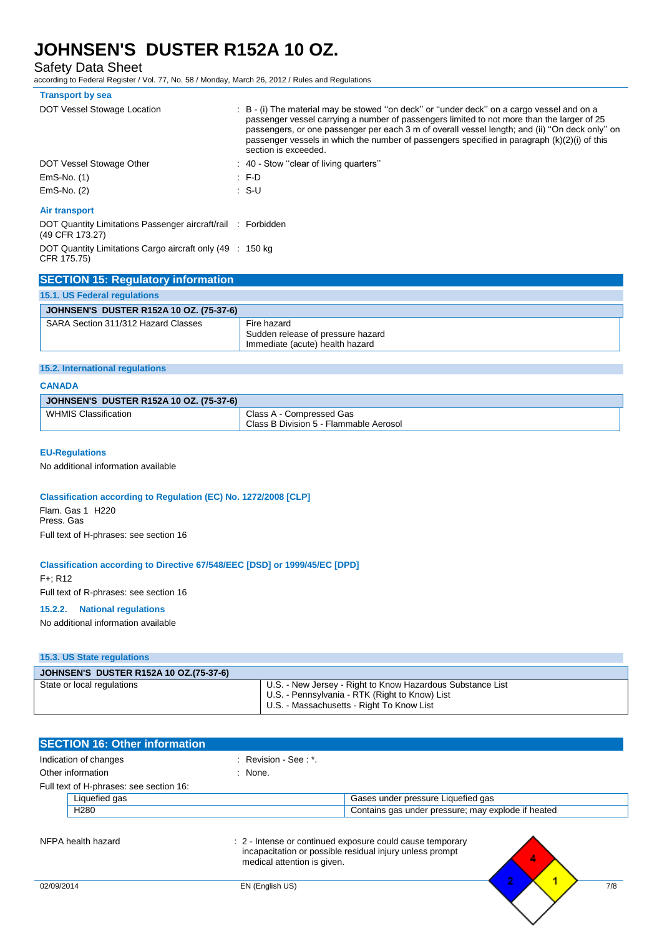Safety Data Sheet

according to Federal Register / Vol. 77, No. 58 / Monday, March 26, 2012 / Rules and Regulations

| <b>Transport by sea</b>                                                         |                                                                                                                                                                                                                                                                                                                                                                                                                     |
|---------------------------------------------------------------------------------|---------------------------------------------------------------------------------------------------------------------------------------------------------------------------------------------------------------------------------------------------------------------------------------------------------------------------------------------------------------------------------------------------------------------|
| DOT Vessel Stowage Location                                                     | : B - (i) The material may be stowed "on deck" or "under deck" on a cargo vessel and on a<br>passenger vessel carrying a number of passengers limited to not more than the larger of 25<br>passengers, or one passenger per each 3 m of overall vessel length; and (ii) "On deck only" on<br>passenger vessels in which the number of passengers specified in paragraph $(k)(2)(i)$ of this<br>section is exceeded. |
| DOT Vessel Stowage Other                                                        | : 40 - Stow "clear of living quarters"                                                                                                                                                                                                                                                                                                                                                                              |
| $EmS-No.$ (1)                                                                   | $F-D$                                                                                                                                                                                                                                                                                                                                                                                                               |
| $EmS-No.$ (2)                                                                   | ∴ S-U                                                                                                                                                                                                                                                                                                                                                                                                               |
| Air transport                                                                   |                                                                                                                                                                                                                                                                                                                                                                                                                     |
| DOT Quantity Limitations Passenger aircraft/rail : Forbidden<br>(49 CFR 173.27) |                                                                                                                                                                                                                                                                                                                                                                                                                     |
| DOT Quantity Limitations Cargo aircraft only (49 : 150 kg)<br>CFR 175.75)       |                                                                                                                                                                                                                                                                                                                                                                                                                     |

| <b>SECTION 15: Regulatory information</b>      |                                                                                     |
|------------------------------------------------|-------------------------------------------------------------------------------------|
| <b>15.1. US Federal regulations</b>            |                                                                                     |
| <b>JOHNSEN'S DUSTER R152A 10 OZ. (75-37-6)</b> |                                                                                     |
| SARA Section 311/312 Hazard Classes            | Fire hazard<br>Sudden release of pressure hazard<br>Immediate (acute) health hazard |

#### **15.2. International regulations**

## **CANADA**

| JOHNSEN'S DUSTER R152A 10 OZ. (75-37-6) |                                                                    |
|-----------------------------------------|--------------------------------------------------------------------|
| <b>WHMIS Classification</b>             | Class A - Compressed Gas<br>Class B Division 5 - Flammable Aerosol |

#### **EU-Regulations**

No additional information available

### **Classification according to Regulation (EC) No. 1272/2008 [CLP]**

Flam. Gas 1 H220 Press. Gas Full text of H-phrases: see section 16

#### **Classification according to Directive 67/548/EEC [DSD] or 1999/45/EC [DPD]**

F+; R12

Full text of R-phrases: see section 16

#### **15.2.2. National regulations**

No additional information available

#### **15.3. US State regulations**

| <b>JOHNSEN'S DUSTER R152A 10 OZ.(75-37-6)</b> |                                                                                                                                                           |
|-----------------------------------------------|-----------------------------------------------------------------------------------------------------------------------------------------------------------|
| State or local regulations                    | U.S. - New Jersey - Right to Know Hazardous Substance List<br>U.S. - Pennsylvania - RTK (Right to Know) List<br>U.S. - Massachusetts - Right To Know List |

| <b>SECTION 16: Other information</b>    |                  |                                          |                                                    |  |
|-----------------------------------------|------------------|------------------------------------------|----------------------------------------------------|--|
| Indication of changes                   |                  | $\therefore$ Revision - See $\therefore$ |                                                    |  |
| Other information                       |                  | None.                                    |                                                    |  |
| Full text of H-phrases: see section 16: |                  |                                          |                                                    |  |
|                                         | Liquefied gas    |                                          | Gases under pressure Liquefied gas                 |  |
|                                         | H <sub>280</sub> |                                          | Contains gas under pressure; may explode if heated |  |
|                                         |                  |                                          |                                                    |  |

NFPA health hazard **interporate interval cause temporary** : 2 - Intense or continued exposure could cause temporary incapacitation or possible residual injury unless prompt medical attention is given.



02/09/2014 EN (English US) EN Contract Contract Contract Contract Contract Contract Contract Contract Contract Contract Contract Contract Contract Contract Contract Contract Contract Contract Contract Contract Contract Con